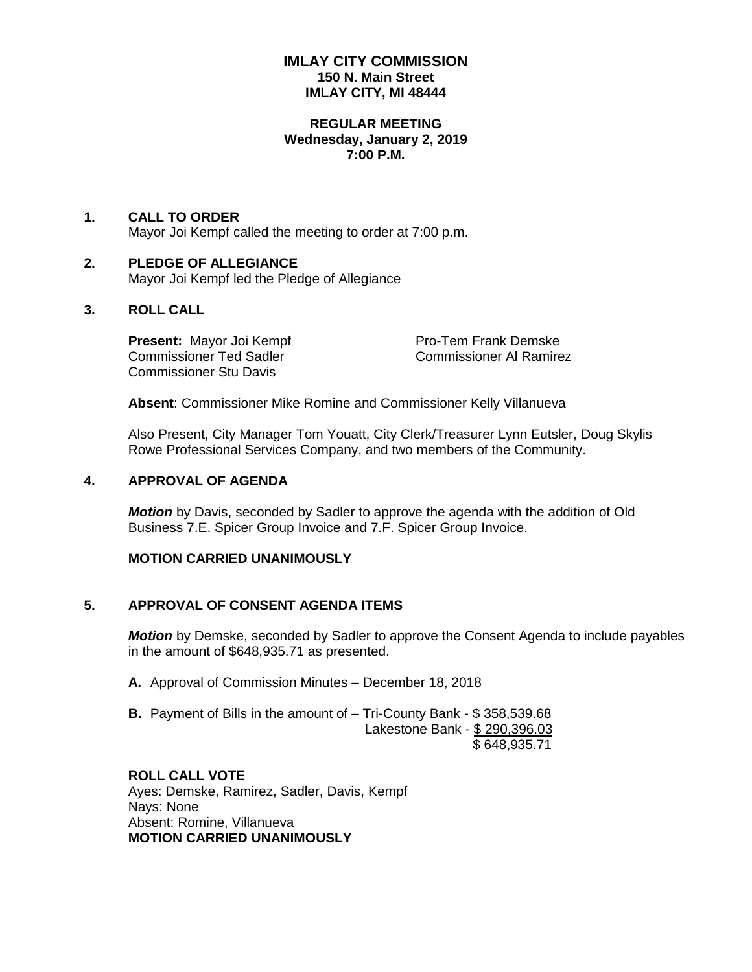# **IMLAY CITY COMMISSION 150 N. Main Street IMLAY CITY, MI 48444**

#### **REGULAR MEETING Wednesday, January 2, 2019 7:00 P.M.**

# **1. CALL TO ORDER** Mayor Joi Kempf called the meeting to order at 7:00 p.m.

#### **2. PLEDGE OF ALLEGIANCE** Mayor Joi Kempf led the Pledge of Allegiance

# **3. ROLL CALL**

**Present:** Mayor Joi Kempf Pro-Tem Frank Demske Commissioner Ted Sadler Commissioner Al Ramirez Commissioner Stu Davis

**Absent**: Commissioner Mike Romine and Commissioner Kelly Villanueva

Also Present, City Manager Tom Youatt, City Clerk/Treasurer Lynn Eutsler, Doug Skylis Rowe Professional Services Company, and two members of the Community.

# **4. APPROVAL OF AGENDA**

*Motion* by Davis, seconded by Sadler to approve the agenda with the addition of Old Business 7.E. Spicer Group Invoice and 7.F. Spicer Group Invoice.

# **MOTION CARRIED UNANIMOUSLY**

# **5. APPROVAL OF CONSENT AGENDA ITEMS**

*Motion* by Demske, seconded by Sadler to approve the Consent Agenda to include payables in the amount of \$648,935.71 as presented.

- **A.** Approval of Commission Minutes December 18, 2018
- **B.** Payment of Bills in the amount of Tri-County Bank \$ 358,539.68 Lakestone Bank - \$ 290,396.03 \$ 648,935.71

## **ROLL CALL VOTE**

Ayes: Demske, Ramirez, Sadler, Davis, Kempf Nays: None Absent: Romine, Villanueva **MOTION CARRIED UNANIMOUSLY**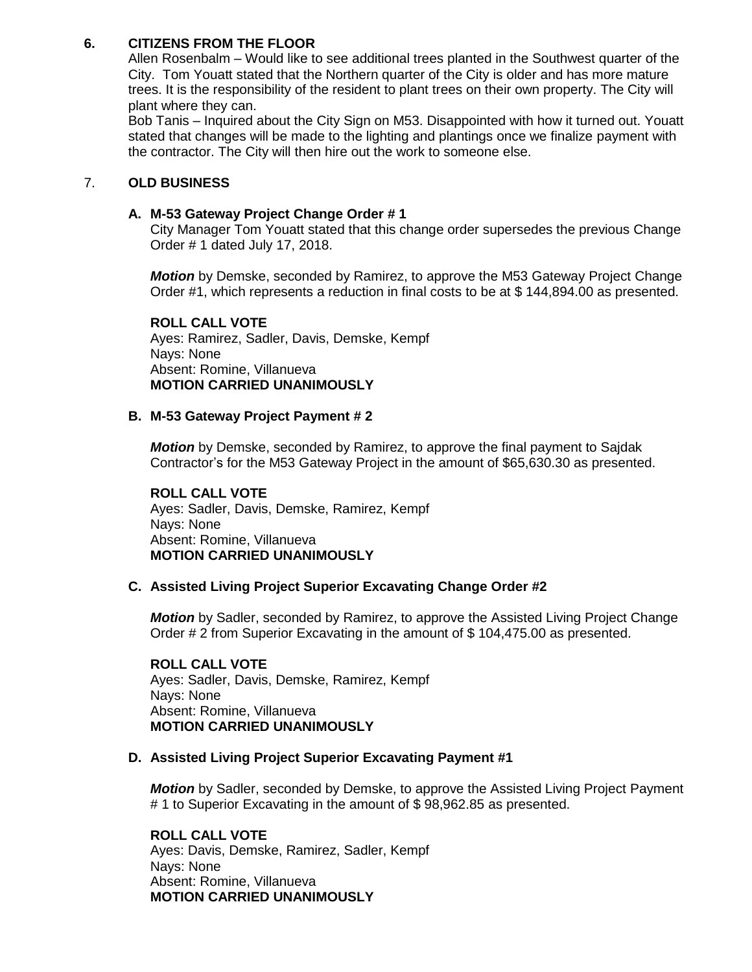# **6. CITIZENS FROM THE FLOOR**

Allen Rosenbalm – Would like to see additional trees planted in the Southwest quarter of the City. Tom Youatt stated that the Northern quarter of the City is older and has more mature trees. It is the responsibility of the resident to plant trees on their own property. The City will plant where they can.

Bob Tanis – Inquired about the City Sign on M53. Disappointed with how it turned out. Youatt stated that changes will be made to the lighting and plantings once we finalize payment with the contractor. The City will then hire out the work to someone else.

# 7. **OLD BUSINESS**

## **A. M-53 Gateway Project Change Order # 1**

City Manager Tom Youatt stated that this change order supersedes the previous Change Order # 1 dated July 17, 2018.

*Motion* by Demske, seconded by Ramirez, to approve the M53 Gateway Project Change Order #1, which represents a reduction in final costs to be at \$ 144,894.00 as presented.

# **ROLL CALL VOTE**

Ayes: Ramirez, Sadler, Davis, Demske, Kempf Nays: None Absent: Romine, Villanueva **MOTION CARRIED UNANIMOUSLY**

# **B. M-53 Gateway Project Payment # 2**

*Motion* by Demske, seconded by Ramirez, to approve the final payment to Sajdak Contractor's for the M53 Gateway Project in the amount of \$65,630.30 as presented.

# **ROLL CALL VOTE**

Ayes: Sadler, Davis, Demske, Ramirez, Kempf Nays: None Absent: Romine, Villanueva **MOTION CARRIED UNANIMOUSLY**

#### **C. Assisted Living Project Superior Excavating Change Order #2**

*Motion* by Sadler, seconded by Ramirez, to approve the Assisted Living Project Change Order # 2 from Superior Excavating in the amount of \$ 104,475.00 as presented.

**ROLL CALL VOTE** Ayes: Sadler, Davis, Demske, Ramirez, Kempf Nays: None Absent: Romine, Villanueva **MOTION CARRIED UNANIMOUSLY**

#### **D. Assisted Living Project Superior Excavating Payment #1**

*Motion* by Sadler, seconded by Demske, to approve the Assisted Living Project Payment # 1 to Superior Excavating in the amount of \$ 98,962.85 as presented.

**ROLL CALL VOTE** Ayes: Davis, Demske, Ramirez, Sadler, Kempf Nays: None Absent: Romine, Villanueva **MOTION CARRIED UNANIMOUSLY**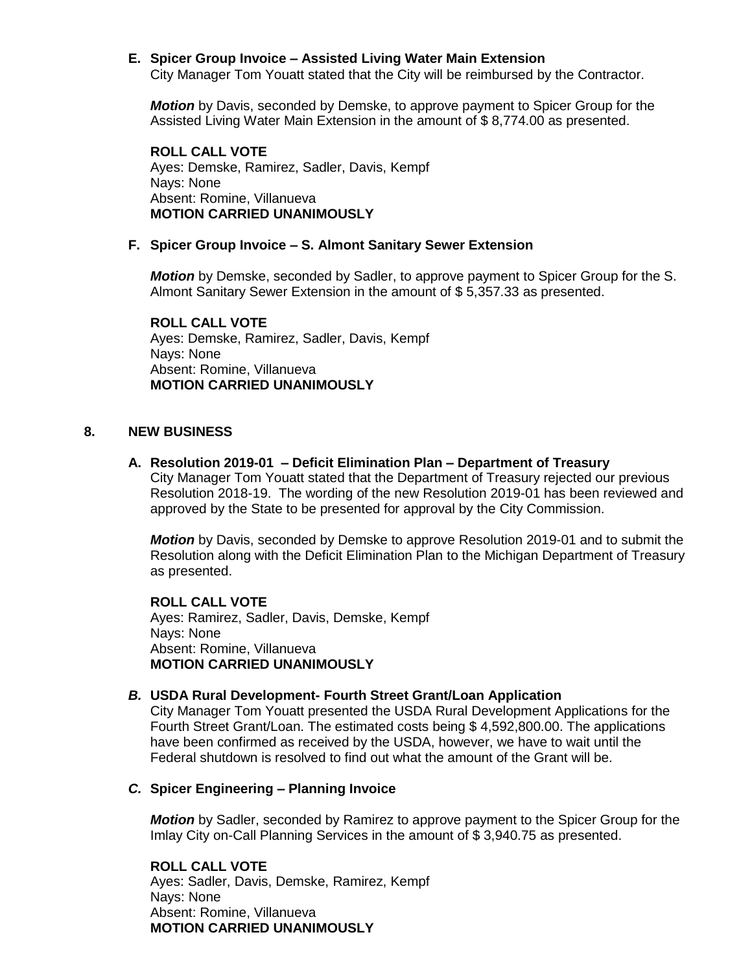# **E. Spicer Group Invoice – Assisted Living Water Main Extension**

City Manager Tom Youatt stated that the City will be reimbursed by the Contractor.

*Motion* by Davis, seconded by Demske, to approve payment to Spicer Group for the Assisted Living Water Main Extension in the amount of \$ 8,774.00 as presented.

**ROLL CALL VOTE** Ayes: Demske, Ramirez, Sadler, Davis, Kempf Nays: None Absent: Romine, Villanueva **MOTION CARRIED UNANIMOUSLY**

#### **F. Spicer Group Invoice – S. Almont Sanitary Sewer Extension**

*Motion* by Demske, seconded by Sadler, to approve payment to Spicer Group for the S. Almont Sanitary Sewer Extension in the amount of \$ 5,357.33 as presented.

**ROLL CALL VOTE** Ayes: Demske, Ramirez, Sadler, Davis, Kempf Nays: None Absent: Romine, Villanueva **MOTION CARRIED UNANIMOUSLY**

#### **8. NEW BUSINESS**

## **A. Resolution 2019-01 – Deficit Elimination Plan – Department of Treasury**

City Manager Tom Youatt stated that the Department of Treasury rejected our previous Resolution 2018-19. The wording of the new Resolution 2019-01 has been reviewed and approved by the State to be presented for approval by the City Commission.

*Motion* by Davis, seconded by Demske to approve Resolution 2019-01 and to submit the Resolution along with the Deficit Elimination Plan to the Michigan Department of Treasury as presented.

**ROLL CALL VOTE** Ayes: Ramirez, Sadler, Davis, Demske, Kempf Nays: None Absent: Romine, Villanueva **MOTION CARRIED UNANIMOUSLY**

#### *B.* **USDA Rural Development- Fourth Street Grant/Loan Application**

City Manager Tom Youatt presented the USDA Rural Development Applications for the Fourth Street Grant/Loan. The estimated costs being \$ 4,592,800.00. The applications have been confirmed as received by the USDA, however, we have to wait until the Federal shutdown is resolved to find out what the amount of the Grant will be.

#### *C.* **Spicer Engineering – Planning Invoice**

*Motion* by Sadler, seconded by Ramirez to approve payment to the Spicer Group for the Imlay City on-Call Planning Services in the amount of \$ 3,940.75 as presented.

**ROLL CALL VOTE** Ayes: Sadler, Davis, Demske, Ramirez, Kempf Nays: None Absent: Romine, Villanueva **MOTION CARRIED UNANIMOUSLY**